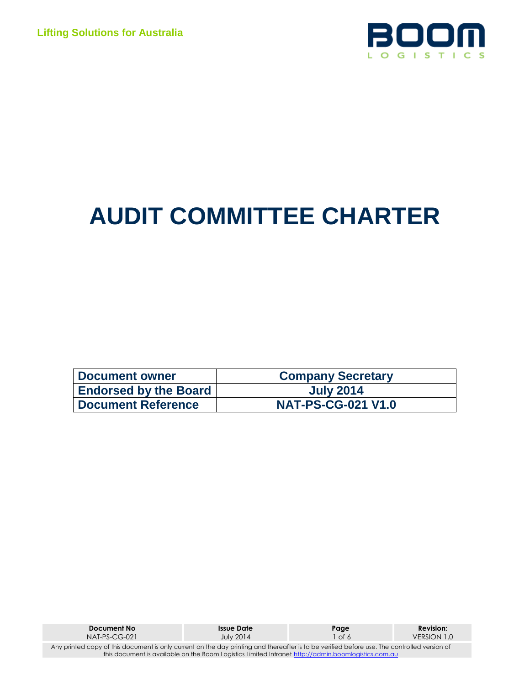

# **AUDIT COMMITTEE CHARTER**

| Document owner               | <b>Company Secretary</b>  |
|------------------------------|---------------------------|
| <b>Endorsed by the Board</b> | <b>July 2014</b>          |
| <b>Document Reference</b>    | <b>NAT-PS-CG-021 V1.0</b> |

| Document No                                                                                                                                  | <b>Issue Date</b> | Page    | <b>Revision:</b> |  |  |
|----------------------------------------------------------------------------------------------------------------------------------------------|-------------------|---------|------------------|--|--|
| $NAI-PS-CG-021$                                                                                                                              | <b>July 2014</b>  | 1 of 61 | VERSION 1.0      |  |  |
| Any printed copy of this document is only current on the day printing and thereafter is to be verified before use. The controlled version of |                   |         |                  |  |  |
| this document is available on the Boom Logistics Limited Intranet http://admin.boomlogistics.com.au                                          |                   |         |                  |  |  |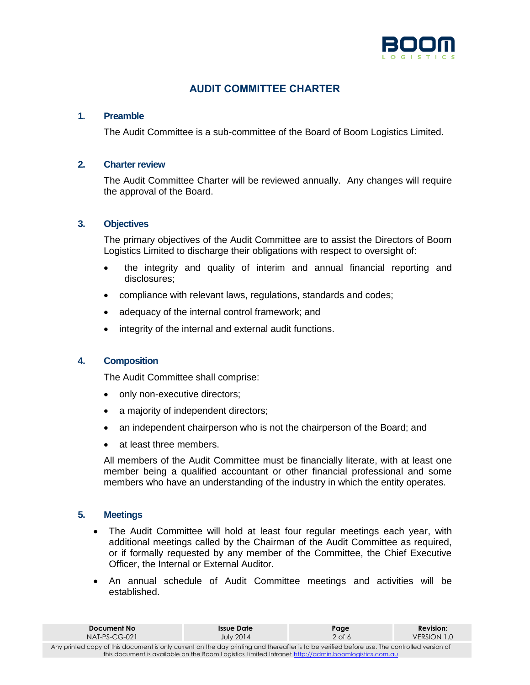

## **AUDIT COMMITTEE CHARTER**

## **1. Preamble**

The Audit Committee is a sub-committee of the Board of Boom Logistics Limited.

## **2. Charter review**

The Audit Committee Charter will be reviewed annually. Any changes will require the approval of the Board.

## **3. Objectives**

The primary objectives of the Audit Committee are to assist the Directors of Boom Logistics Limited to discharge their obligations with respect to oversight of:

- the integrity and quality of interim and annual financial reporting and disclosures;
- compliance with relevant laws, regulations, standards and codes;
- adequacy of the internal control framework; and
- integrity of the internal and external audit functions.

### **4. Composition**

The Audit Committee shall comprise:

- only non-executive directors;
- a majority of independent directors;
- an independent chairperson who is not the chairperson of the Board; and
- at least three members.

All members of the Audit Committee must be financially literate, with at least one member being a qualified accountant or other financial professional and some members who have an understanding of the industry in which the entity operates.

### **5. Meetings**

- The Audit Committee will hold at least four regular meetings each year, with additional meetings called by the Chairman of the Audit Committee as required, or if formally requested by any member of the Committee, the Chief Executive Officer, the Internal or External Auditor.
- An annual schedule of Audit Committee meetings and activities will be established.

| Document No                                                                                                                                  | Issue Date       | Page     | <b>Revision:</b> |  |  |
|----------------------------------------------------------------------------------------------------------------------------------------------|------------------|----------|------------------|--|--|
| $NAT-PS-CG-021$                                                                                                                              | <b>July 2014</b> | $2$ of 6 | VERSION 1.0      |  |  |
| Any printed copy of this document is only current on the day printing and thereafter is to be verified before use. The controlled version of |                  |          |                  |  |  |
| this document is available on the Boom Logistics Limited Intranet http://admin.boomlogistics.com.au                                          |                  |          |                  |  |  |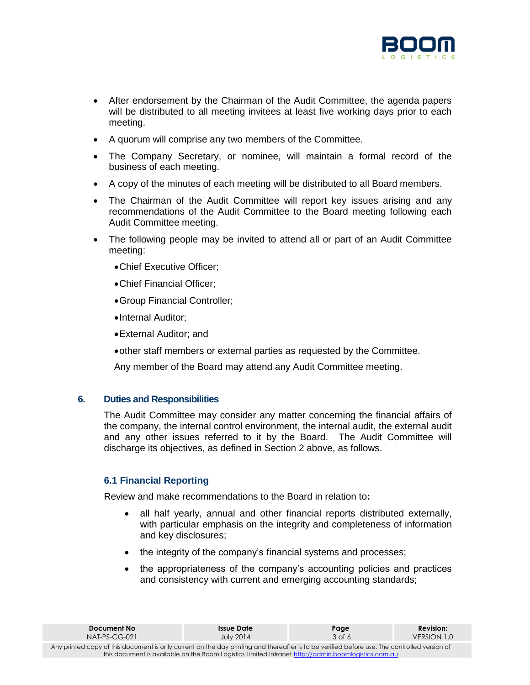

- After endorsement by the Chairman of the Audit Committee, the agenda papers will be distributed to all meeting invitees at least five working days prior to each meeting.
- A quorum will comprise any two members of the Committee.
- The Company Secretary, or nominee, will maintain a formal record of the business of each meeting.
- A copy of the minutes of each meeting will be distributed to all Board members.
- The Chairman of the Audit Committee will report key issues arising and any recommendations of the Audit Committee to the Board meeting following each Audit Committee meeting.
- The following people may be invited to attend all or part of an Audit Committee meeting:
	- Chief Executive Officer;
	- Chief Financial Officer;
	- Group Financial Controller;
	- •Internal Auditor:
	- External Auditor; and
	- other staff members or external parties as requested by the Committee.

Any member of the Board may attend any Audit Committee meeting.

### **6. Duties and Responsibilities**

The Audit Committee may consider any matter concerning the financial affairs of the company, the internal control environment, the internal audit, the external audit and any other issues referred to it by the Board. The Audit Committee will discharge its objectives, as defined in Section 2 above, as follows.

## **6.1 Financial Reporting**

Review and make recommendations to the Board in relation to**:**

- all half yearly, annual and other financial reports distributed externally, with particular emphasis on the integrity and completeness of information and key disclosures;
- the integrity of the company's financial systems and processes;
- the appropriateness of the company's accounting policies and practices and consistency with current and emerging accounting standards;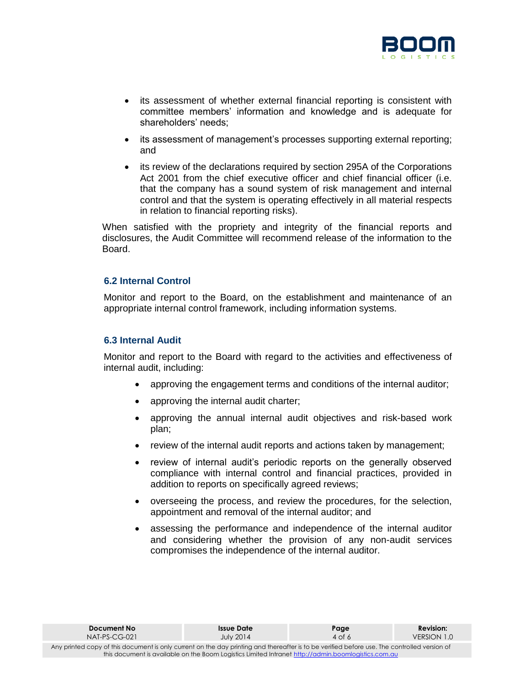

- its assessment of whether external financial reporting is consistent with committee members' information and knowledge and is adequate for shareholders' needs;
- its assessment of management's processes supporting external reporting; and
- its review of the declarations required by section 295A of the Corporations Act 2001 from the chief executive officer and chief financial officer (i.e. that the company has a sound system of risk management and internal control and that the system is operating effectively in all material respects in relation to financial reporting risks).

When satisfied with the propriety and integrity of the financial reports and disclosures, the Audit Committee will recommend release of the information to the Board.

## **6.2 Internal Control**

Monitor and report to the Board, on the establishment and maintenance of an appropriate internal control framework, including information systems.

#### **6.3 Internal Audit**

Monitor and report to the Board with regard to the activities and effectiveness of internal audit, including:

- approving the engagement terms and conditions of the internal auditor;
- approving the internal audit charter;
- approving the annual internal audit objectives and risk-based work plan;
- review of the internal audit reports and actions taken by management;
- review of internal audit's periodic reports on the generally observed compliance with internal control and financial practices, provided in addition to reports on specifically agreed reviews;
- overseeing the process, and review the procedures, for the selection, appointment and removal of the internal auditor; and
- assessing the performance and independence of the internal auditor and considering whether the provision of any non-audit services compromises the independence of the internal auditor.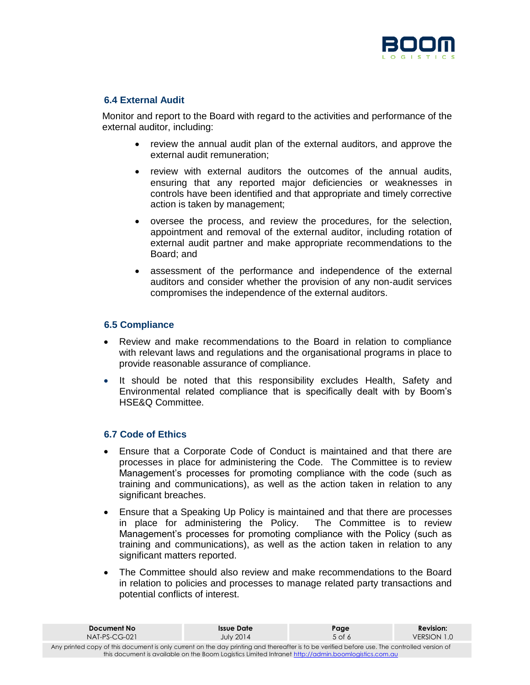

## **6.4 External Audit**

Monitor and report to the Board with regard to the activities and performance of the external auditor, including:

- review the annual audit plan of the external auditors, and approve the external audit remuneration;
- review with external auditors the outcomes of the annual audits, ensuring that any reported major deficiencies or weaknesses in controls have been identified and that appropriate and timely corrective action is taken by management;
- oversee the process, and review the procedures, for the selection, appointment and removal of the external auditor, including rotation of external audit partner and make appropriate recommendations to the Board; and
- assessment of the performance and independence of the external auditors and consider whether the provision of any non-audit services compromises the independence of the external auditors.

### **6.5 Compliance**

- Review and make recommendations to the Board in relation to compliance with relevant laws and regulations and the organisational programs in place to provide reasonable assurance of compliance.
- It should be noted that this responsibility excludes Health, Safety and Environmental related compliance that is specifically dealt with by Boom's HSE&Q Committee.

### **6.7 Code of Ethics**

- Ensure that a Corporate Code of Conduct is maintained and that there are processes in place for administering the Code. The Committee is to review Management's processes for promoting compliance with the code (such as training and communications), as well as the action taken in relation to any significant breaches.
- Ensure that a Speaking Up Policy is maintained and that there are processes in place for administering the Policy. The Committee is to review Management's processes for promoting compliance with the Policy (such as training and communications), as well as the action taken in relation to any significant matters reported.
- The Committee should also review and make recommendations to the Board in relation to policies and processes to manage related party transactions and potential conflicts of interest.

| Document No                                                                                                                                  | <b>Issue Date</b> | Page   | <b>Revision:</b> |  |  |
|----------------------------------------------------------------------------------------------------------------------------------------------|-------------------|--------|------------------|--|--|
| $NAI-PS-CG-021$                                                                                                                              | <b>July 2014</b>  | 5 of 6 | VERSION 1.0      |  |  |
| Any printed copy of this document is only current on the day printing and thereafter is to be verified before use. The controlled version of |                   |        |                  |  |  |
| this document is available on the Boom Logistics Limited Intranet http://admin.boomlogistics.com.au                                          |                   |        |                  |  |  |